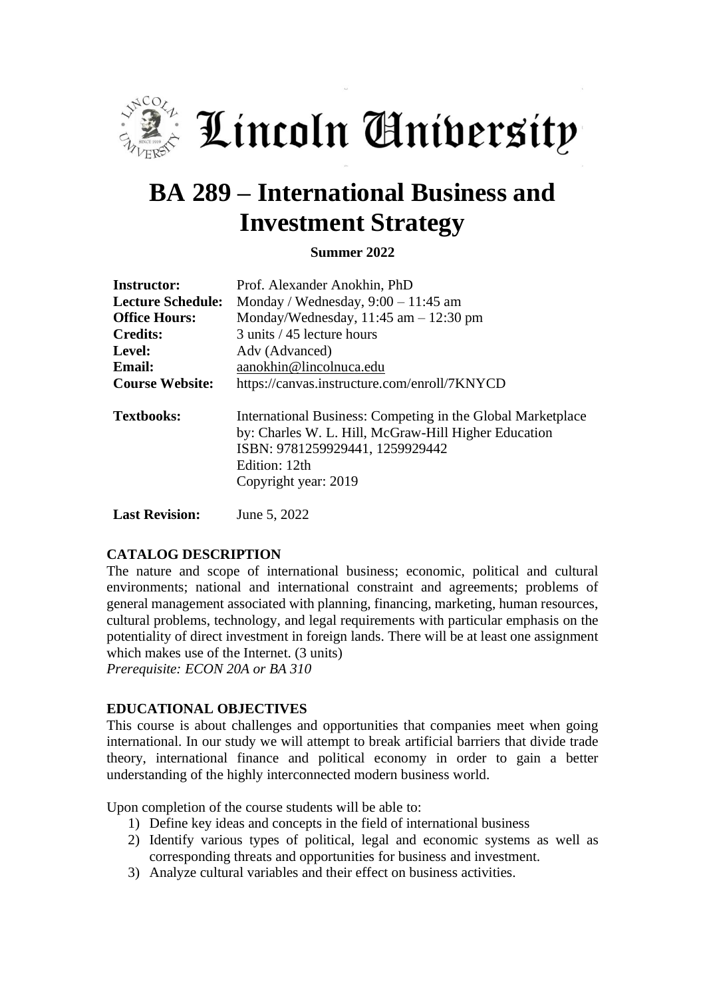

Lincoln Aniversity

# **BA 289 – International Business and Investment Strategy**

**Summer 2022**

| <b>Instructor:</b>       | Prof. Alexander Anokhin, PhD                                                                                                                                                                    |  |  |
|--------------------------|-------------------------------------------------------------------------------------------------------------------------------------------------------------------------------------------------|--|--|
| <b>Lecture Schedule:</b> | Monday / Wednesday, $9:00 - 11:45$ am                                                                                                                                                           |  |  |
| <b>Office Hours:</b>     | Monday/Wednesday, $11:45$ am $-12:30$ pm                                                                                                                                                        |  |  |
| <b>Credits:</b>          | 3 units / 45 lecture hours                                                                                                                                                                      |  |  |
| Level:                   | Adv (Advanced)                                                                                                                                                                                  |  |  |
| <b>Email:</b>            | aanokhin@lincolnuca.edu                                                                                                                                                                         |  |  |
| <b>Course Website:</b>   | https://canvas.instructure.com/enroll/7KNYCD                                                                                                                                                    |  |  |
| <b>Textbooks:</b>        | International Business: Competing in the Global Marketplace<br>by: Charles W. L. Hill, McGraw-Hill Higher Education<br>ISBN: 9781259929441, 1259929442<br>Edition: 12th<br>Copyright year: 2019 |  |  |

**Last Revision:** June 5, 2022

### **CATALOG DESCRIPTION**

The nature and scope of international business; economic, political and cultural environments; national and international constraint and agreements; problems of general management associated with planning, financing, marketing, human resources, cultural problems, technology, and legal requirements with particular emphasis on the potentiality of direct investment in foreign lands. There will be at least one assignment which makes use of the Internet. (3 units) *Prerequisite: ECON 20A or BA 310*

#### **EDUCATIONAL OBJECTIVES**

This course is about challenges and opportunities that companies meet when going international. In our study we will attempt to break artificial barriers that divide trade theory, international finance and political economy in order to gain a better understanding of the highly interconnected modern business world.

Upon completion of the course students will be able to:

- 1) Define key ideas and concepts in the field of international business
- 2) Identify various types of political, legal and economic systems as well as corresponding threats and opportunities for business and investment.
- 3) Analyze cultural variables and their effect on business activities.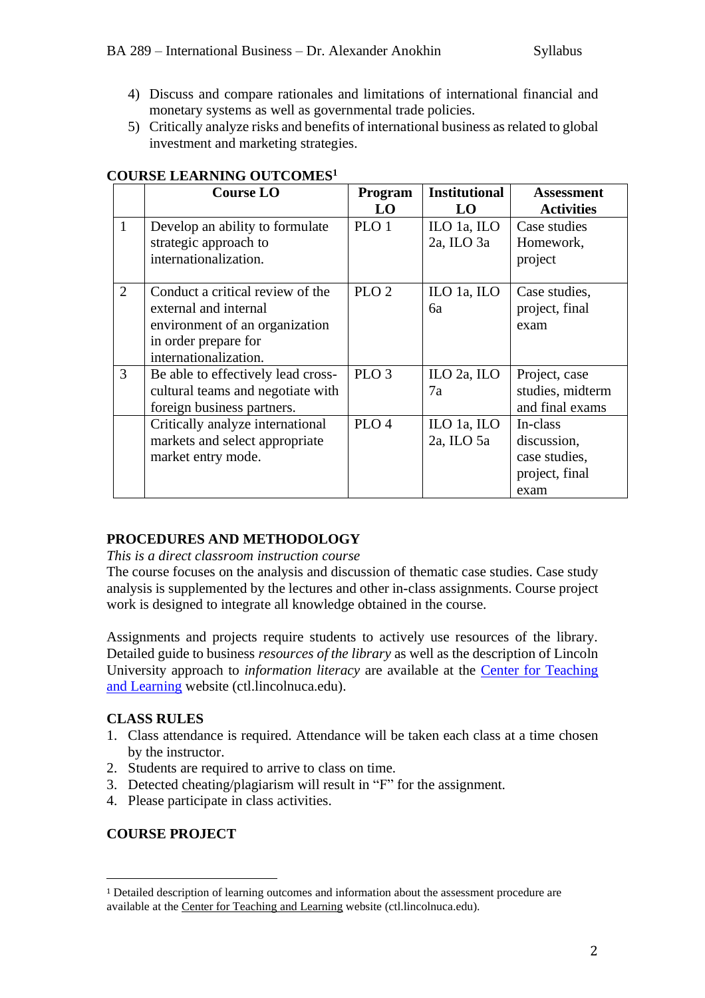- 4) Discuss and compare rationales and limitations of international financial and monetary systems as well as governmental trade policies.
- 5) Critically analyze risks and benefits of international business as related to global investment and marketing strategies.

|                | <b>Course LO</b>                                                                                                                             | Program<br>LO    | <b>Institutional</b><br>LO | <b>Assessment</b><br><b>Activities</b>                             |
|----------------|----------------------------------------------------------------------------------------------------------------------------------------------|------------------|----------------------------|--------------------------------------------------------------------|
| $\mathbf{1}$   | Develop an ability to formulate<br>strategic approach to<br>internationalization.                                                            | PLO 1            | ILO 1a, ILO<br>2a, ILO 3a  | Case studies<br>Homework,<br>project                               |
| $\overline{2}$ | Conduct a critical review of the<br>external and internal<br>environment of an organization<br>in order prepare for<br>internationalization. | PLO <sub>2</sub> | ILO 1a, ILO<br>6a          | Case studies,<br>project, final<br>exam                            |
| 3              | Be able to effectively lead cross-<br>cultural teams and negotiate with<br>foreign business partners.                                        | PLO <sub>3</sub> | ILO 2a, ILO<br>7a          | Project, case<br>studies, midterm<br>and final exams               |
|                | Critically analyze international<br>markets and select appropriate<br>market entry mode.                                                     | PLO <sub>4</sub> | ILO 1a, ILO<br>2a, ILO 5a  | In-class<br>discussion,<br>case studies,<br>project, final<br>exam |

### **COURSE LEARNING OUTCOMES<sup>1</sup>**

### **PROCEDURES AND METHODOLOGY**

*This is a direct classroom instruction course*

The course focuses on the analysis and discussion of thematic case studies. Case study analysis is supplemented by the lectures and other in-class assignments. Course project work is designed to integrate all knowledge obtained in the course.

Assignments and projects require students to actively use resources of the library. Detailed guide to business *resources of the library* as well as the description of Lincoln University approach to *information literacy* are available at the [Center for Teaching](http://ctl.lincolnuca.edu/kb-base/library-guide-business-resources/)  [and Learning](http://ctl.lincolnuca.edu/kb-base/library-guide-business-resources/) website (ctl.lincolnuca.edu).

### **CLASS RULES**

- 1. Class attendance is required. Attendance will be taken each class at a time chosen by the instructor.
- 2. Students are required to arrive to class on time.
- 3. Detected cheating/plagiarism will result in "F" for the assignment.
- 4. Please participate in class activities.

### **COURSE PROJECT**

<sup>1</sup> Detailed description of learning outcomes and information about the assessment procedure are available at the Center for [Teaching](http://ctl.lincolnuca.edu/) and Learning website (ctl.lincolnuca.edu).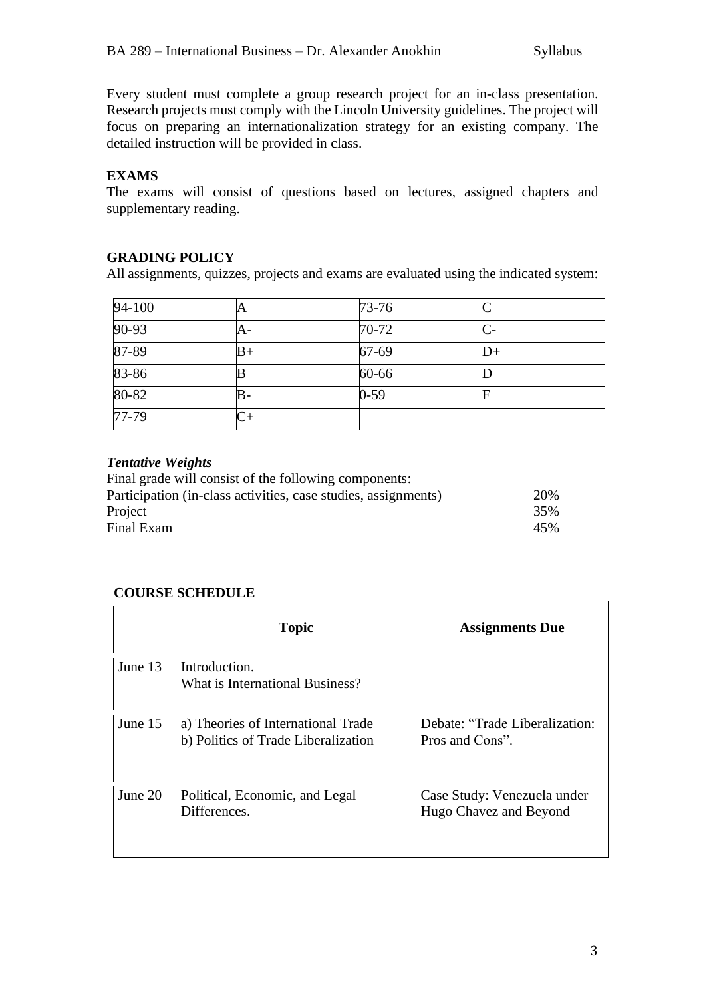Every student must complete a group research project for an in-class presentation. Research projects must comply with the Lincoln University guidelines. The project will focus on preparing an internationalization strategy for an existing company. The detailed instruction will be provided in class.

# **EXAMS**

The exams will consist of questions based on lectures, assigned chapters and supplementary reading.

## **GRADING POLICY**

All assignments, quizzes, projects and exams are evaluated using the indicated system:

| $94 - 100$ | A    | $73 - 76$ |      |
|------------|------|-----------|------|
| $90 - 93$  | A-   | $70 - 72$ |      |
| 87-89      | $B+$ | 67-69     | $D+$ |
| 83-86      |      | 60-66     |      |
| $80 - 82$  | lB-  | $0 - 59$  |      |
| $77 - 79$  |      |           |      |

### *Tentative Weights*

| Final grade will consist of the following components:          |     |
|----------------------------------------------------------------|-----|
| Participation (in-class activities, case studies, assignments) | 20% |
| Project                                                        | 35% |
| Final Exam                                                     | 45% |

### **COURSE SCHEDULE**

|         | <b>Topic</b>                                                              | <b>Assignments Due</b>                                |
|---------|---------------------------------------------------------------------------|-------------------------------------------------------|
| June 13 | Introduction.<br>What is International Business?                          |                                                       |
| June 15 | a) Theories of International Trade<br>b) Politics of Trade Liberalization | Debate: "Trade Liberalization:<br>Pros and Cons".     |
| June 20 | Political, Economic, and Legal<br>Differences.                            | Case Study: Venezuela under<br>Hugo Chavez and Beyond |